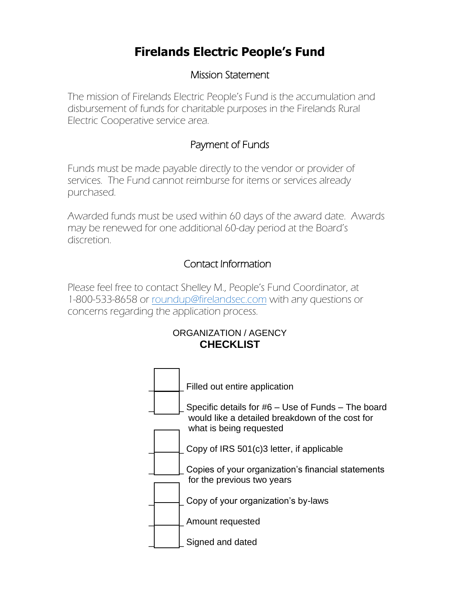# **Firelands Electric People's Fund**

## Mission Statement

The mission of Firelands Electric People's Fund is the accumulation and disbursement of funds for charitable purposes in the Firelands Rural Electric Cooperative service area.

# Payment of Funds

Funds must be made payable directly to the vendor or provider of services. The Fund cannot reimburse for items or services already purchased.

Awarded funds must be used within 60 days of the award date. Awards may be renewed for one additional 60-day period at the Board's discretion.

# Contact Information

Please feel free to contact Shelley M., People's Fund Coordinator, at 1-800-533-8658 or [roundup@firelandsec.com](mailto:roundup@firelandsec.com) with any questions or concerns regarding the application process.

### ORGANIZATION / AGENCY **CHECKLIST**

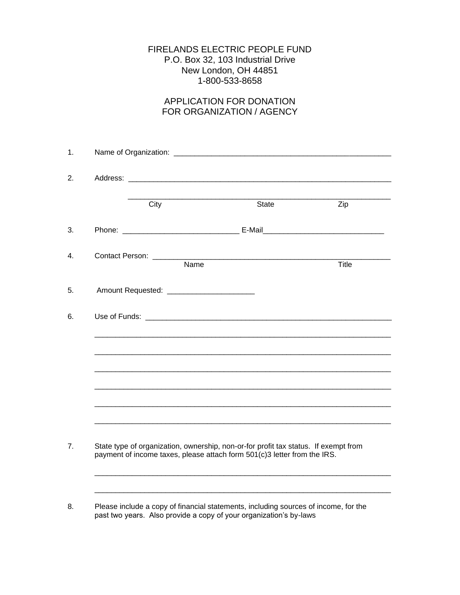#### FIRELANDS ELECTRIC PEOPLE FUND P.O. Box 32, 103 Industrial Drive New London, OH 44851 1-800-533-8658

#### APPLICATION FOR DONATION FOR ORGANIZATION / AGENCY

| City                                          | State                                                                                                                                                           | Zip   |
|-----------------------------------------------|-----------------------------------------------------------------------------------------------------------------------------------------------------------------|-------|
|                                               |                                                                                                                                                                 |       |
| Contact Person: _______<br>Name               |                                                                                                                                                                 | Title |
| Amount Requested: ___________________________ |                                                                                                                                                                 |       |
|                                               |                                                                                                                                                                 |       |
|                                               |                                                                                                                                                                 |       |
|                                               |                                                                                                                                                                 |       |
|                                               |                                                                                                                                                                 |       |
|                                               |                                                                                                                                                                 |       |
|                                               | State type of organization, ownership, non-or-for profit tax status. If exempt from<br>payment of income taxes, please attach form 501(c)3 letter from the IRS. |       |
|                                               |                                                                                                                                                                 |       |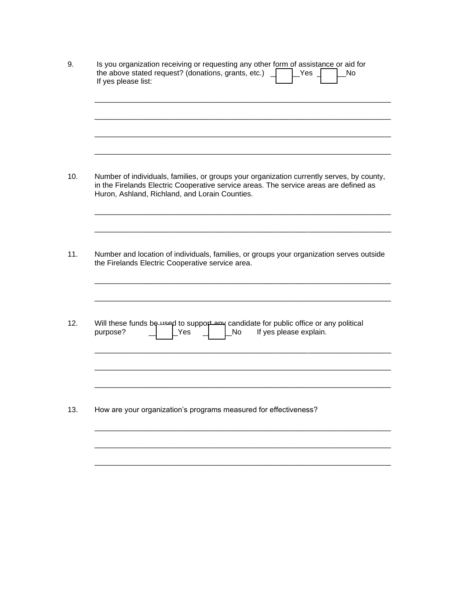| 9.  | Is you organization receiving or requesting any other form of assistance or aid for<br>the above stated request? (donations, grants, etc.)<br>Yes<br>No<br>If yes please list:                                                       |  |  |  |  |  |
|-----|--------------------------------------------------------------------------------------------------------------------------------------------------------------------------------------------------------------------------------------|--|--|--|--|--|
|     |                                                                                                                                                                                                                                      |  |  |  |  |  |
| 10. | Number of individuals, families, or groups your organization currently serves, by county,<br>in the Firelands Electric Cooperative service areas. The service areas are defined as<br>Huron, Ashland, Richland, and Lorain Counties. |  |  |  |  |  |
| 11. | Number and location of individuals, families, or groups your organization serves outside<br>the Firelands Electric Cooperative service area.                                                                                         |  |  |  |  |  |
| 12. | Will these funds be used to support any candidate for public office or any political<br>If yes please explain.<br>purpose?<br>Yes<br>No                                                                                              |  |  |  |  |  |
| 13. | How are your organization's programs measured for effectiveness?                                                                                                                                                                     |  |  |  |  |  |
|     |                                                                                                                                                                                                                                      |  |  |  |  |  |